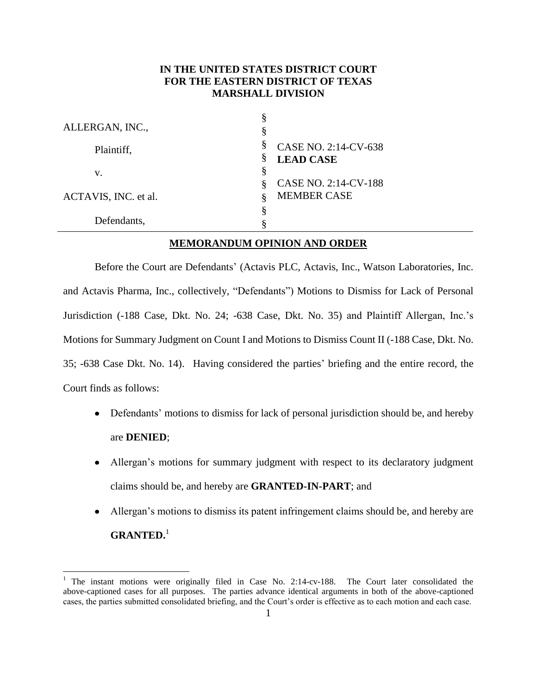### **IN THE UNITED STATES DISTRICT COURT FOR THE EASTERN DISTRICT OF TEXAS MARSHALL DIVISION**

| ALLERGAN, INC.,      | 8<br>§                                             |
|----------------------|----------------------------------------------------|
| Plaintiff,           | §<br>CASE NO. 2:14-CV-638<br>§<br><b>LEAD CASE</b> |
| v.                   | §<br>CASE NO. 2:14-CV-188<br>8                     |
| ACTAVIS, INC. et al. | <b>MEMBER CASE</b>                                 |
| Defendants,          | ş                                                  |

### **MEMORANDUM OPINION AND ORDER**

Before the Court are Defendants' (Actavis PLC, Actavis, Inc., Watson Laboratories, Inc. and Actavis Pharma, Inc., collectively, "Defendants") Motions to Dismiss for Lack of Personal Jurisdiction (-188 Case, Dkt. No. 24; -638 Case, Dkt. No. 35) and Plaintiff Allergan, Inc.'s Motions for Summary Judgment on Count I and Motions to Dismiss Count II (-188 Case, Dkt. No. 35; -638 Case Dkt. No. 14). Having considered the parties' briefing and the entire record, the Court finds as follows:

- Defendants' motions to dismiss for lack of personal jurisdiction should be, and hereby are **DENIED**;
- Allergan's motions for summary judgment with respect to its declaratory judgment claims should be, and hereby are **GRANTED-IN-PART**; and
- Allergan's motions to dismiss its patent infringement claims should be, and hereby are  $\bullet$ **GRANTED.** 1

 $\overline{a}$ 

<sup>&</sup>lt;sup>1</sup> The instant motions were originally filed in Case No. 2:14-cv-188. The Court later consolidated the above-captioned cases for all purposes. The parties advance identical arguments in both of the above-captioned cases, the parties submitted consolidated briefing, and the Court's order is effective as to each motion and each case.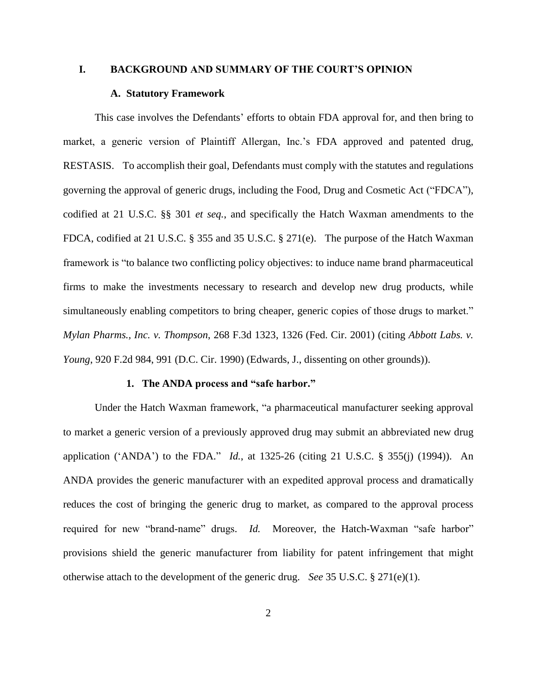#### **I. BACKGROUND AND SUMMARY OF THE COURT'S OPINION**

#### **A. Statutory Framework**

This case involves the Defendants' efforts to obtain FDA approval for, and then bring to market, a generic version of Plaintiff Allergan, Inc.'s FDA approved and patented drug, RESTASIS. To accomplish their goal, Defendants must comply with the statutes and regulations governing the approval of generic drugs, including the Food, Drug and Cosmetic Act ("FDCA"), codified at 21 U.S.C. §§ 301 *et seq.*, and specifically the Hatch Waxman amendments to the FDCA, codified at 21 U.S.C. § 355 and 35 U.S.C. § 271(e). The purpose of the Hatch Waxman framework is "to balance two conflicting policy objectives: to induce name brand pharmaceutical firms to make the investments necessary to research and develop new drug products, while simultaneously enabling competitors to bring cheaper, generic copies of those drugs to market." *Mylan Pharms., Inc. v. Thompson*, 268 F.3d 1323, 1326 (Fed. Cir. 2001) (citing *Abbott Labs. v. Young*, 920 F.2d 984, 991 (D.C. Cir. 1990) (Edwards, J., dissenting on other grounds)).

#### **1. The ANDA process and "safe harbor."**

Under the Hatch Waxman framework, "a pharmaceutical manufacturer seeking approval to market a generic version of a previously approved drug may submit an abbreviated new drug application ('ANDA') to the FDA." *Id.*, at 1325-26 (citing 21 U.S.C. § 355(j) (1994)). An ANDA provides the generic manufacturer with an expedited approval process and dramatically reduces the cost of bringing the generic drug to market, as compared to the approval process required for new "brand-name" drugs. *Id.* Moreover, the Hatch-Waxman "safe harbor" provisions shield the generic manufacturer from liability for patent infringement that might otherwise attach to the development of the generic drug. *See* 35 U.S.C. § 271(e)(1).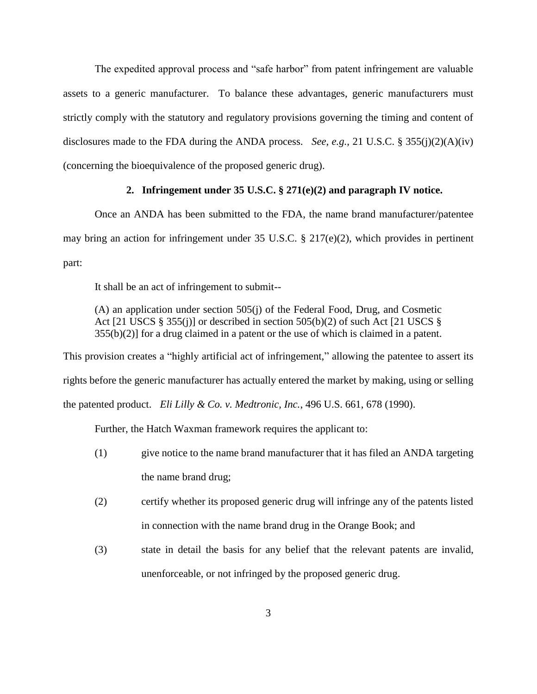The expedited approval process and "safe harbor" from patent infringement are valuable assets to a generic manufacturer. To balance these advantages, generic manufacturers must strictly comply with the statutory and regulatory provisions governing the timing and content of disclosures made to the FDA during the ANDA process. *See, e.g.,* 21 U.S.C. § 355(j)(2)(A)(iv) (concerning the bioequivalence of the proposed generic drug).

#### **2. Infringement under 35 U.S.C. § 271(e)(2) and paragraph IV notice.**

Once an ANDA has been submitted to the FDA, the name brand manufacturer/patentee may bring an action for infringement under 35 U.S.C. § 217(e)(2), which provides in pertinent part:

It shall be an act of infringement to submit--

(A) an application under section 505(j) of the Federal Food, Drug, and Cosmetic Act [21 USCS  $\S$  355(j)] or described in section 505(b)(2) of such Act [21 USCS  $\S$ 355(b)(2)] for a drug claimed in a patent or the use of which is claimed in a patent.

This provision creates a "highly artificial act of infringement," allowing the patentee to assert its rights before the generic manufacturer has actually entered the market by making, using or selling the patented product. *Eli Lilly & Co. v. Medtronic, Inc.*, 496 U.S. 661, 678 (1990).

Further, the Hatch Waxman framework requires the applicant to:

- (1) give notice to the name brand manufacturer that it has filed an ANDA targeting the name brand drug;
- (2) certify whether its proposed generic drug will infringe any of the patents listed in connection with the name brand drug in the Orange Book; and
- (3) state in detail the basis for any belief that the relevant patents are invalid, unenforceable, or not infringed by the proposed generic drug.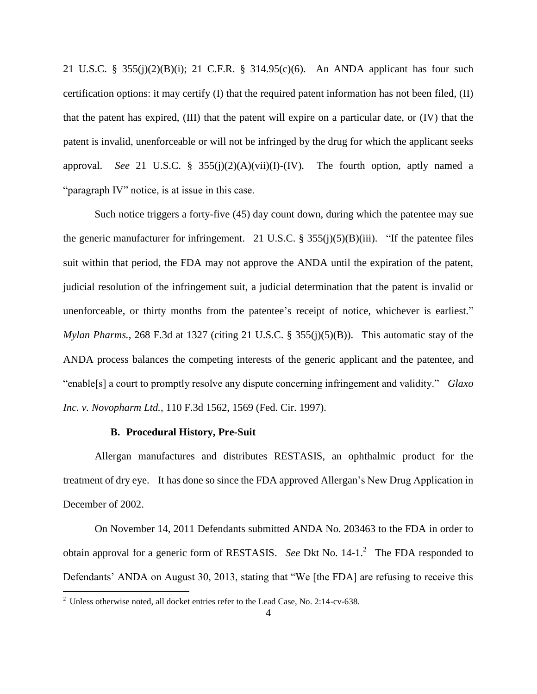21 U.S.C. § 355(j)(2)(B)(i); 21 C.F.R. § 314.95(c)(6). An ANDA applicant has four such certification options: it may certify (I) that the required patent information has not been filed, (II) that the patent has expired, (III) that the patent will expire on a particular date, or (IV) that the patent is invalid, unenforceable or will not be infringed by the drug for which the applicant seeks approval. *See* 21 U.S.C. § 355(j)(2)(A)(vii)(I)-(IV). The fourth option, aptly named a "paragraph IV" notice, is at issue in this case.

Such notice triggers a forty-five (45) day count down, during which the patentee may sue the generic manufacturer for infringement. 21 U.S.C.  $\S 355(j)(5)(B)(iii)$ . "If the patentee files suit within that period, the FDA may not approve the ANDA until the expiration of the patent, judicial resolution of the infringement suit, a judicial determination that the patent is invalid or unenforceable, or thirty months from the patentee's receipt of notice, whichever is earliest." *Mylan Pharms.*, 268 F.3d at 1327 (citing 21 U.S.C. § 355(j)(5)(B)). This automatic stay of the ANDA process balances the competing interests of the generic applicant and the patentee, and "enable[s] a court to promptly resolve any dispute concerning infringement and validity." *Glaxo Inc. v. Novopharm Ltd.*, 110 F.3d 1562, 1569 (Fed. Cir. 1997).

#### **B. Procedural History, Pre-Suit**

Allergan manufactures and distributes RESTASIS, an ophthalmic product for the treatment of dry eye. It has done so since the FDA approved Allergan's New Drug Application in December of 2002.

On November 14, 2011 Defendants submitted ANDA No. 203463 to the FDA in order to obtain approval for a generic form of RESTASIS. See Dkt No. 14-1.<sup>2</sup> The FDA responded to Defendants' ANDA on August 30, 2013, stating that "We [the FDA] are refusing to receive this

 $\overline{a}$ 

 $2$  Unless otherwise noted, all docket entries refer to the Lead Case, No. 2:14-cv-638.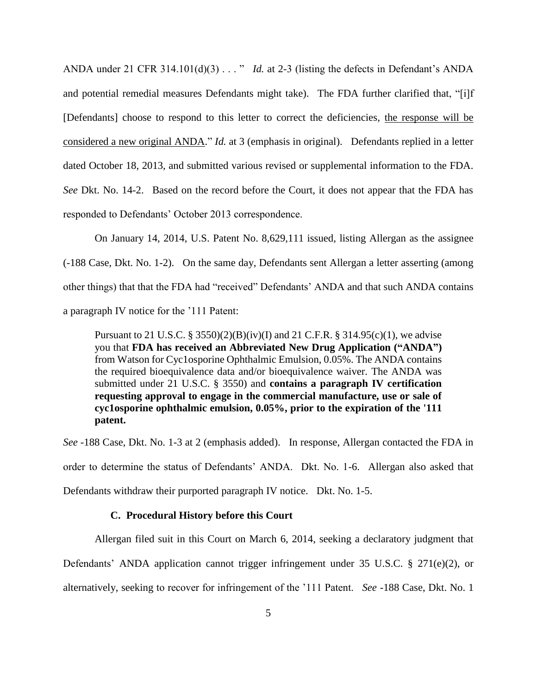ANDA under 21 CFR 314.101(d)(3) . . . " *Id.* at 2-3 (listing the defects in Defendant's ANDA and potential remedial measures Defendants might take). The FDA further clarified that, "[i]f [Defendants] choose to respond to this letter to correct the deficiencies, the response will be considered a new original ANDA." *Id.* at 3 (emphasis in original). Defendants replied in a letter dated October 18, 2013, and submitted various revised or supplemental information to the FDA. *See* Dkt. No. 14-2. Based on the record before the Court, it does not appear that the FDA has responded to Defendants' October 2013 correspondence.

On January 14, 2014, U.S. Patent No. 8,629,111 issued, listing Allergan as the assignee (-188 Case, Dkt. No. 1-2). On the same day, Defendants sent Allergan a letter asserting (among other things) that that the FDA had "received" Defendants' ANDA and that such ANDA contains a paragraph IV notice for the '111 Patent:

Pursuant to 21 U.S.C. § 3550)(2)(B)(iv)(I) and 21 C.F.R. § 314.95(c)(1), we advise you that **FDA has received an Abbreviated New Drug Application ("ANDA")** from Watson for Cyc1osporine Ophthalmic Emulsion, 0.05%. The ANDA contains the required bioequivalence data and/or bioequivalence waiver. The ANDA was submitted under 21 U.S.C. § 3550) and **contains a paragraph IV certification requesting approval to engage in the commercial manufacture, use or sale of cyc1osporine ophthalmic emulsion, 0.05%, prior to the expiration of the '111 patent.**

*See* -188 Case, Dkt. No. 1-3 at 2 (emphasis added). In response, Allergan contacted the FDA in order to determine the status of Defendants' ANDA. Dkt. No. 1-6. Allergan also asked that Defendants withdraw their purported paragraph IV notice. Dkt. No. 1-5.

#### **C. Procedural History before this Court**

Allergan filed suit in this Court on March 6, 2014, seeking a declaratory judgment that

Defendants' ANDA application cannot trigger infringement under 35 U.S.C. § 271(e)(2), or

alternatively, seeking to recover for infringement of the '111 Patent. *See* -188 Case, Dkt. No. 1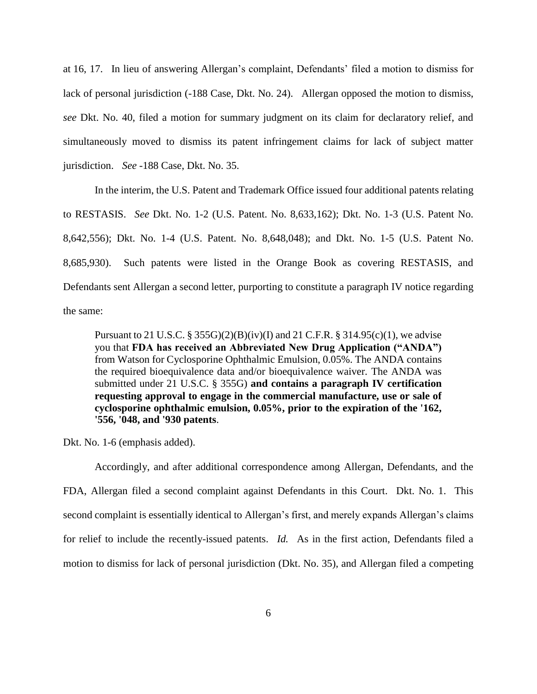at 16, 17. In lieu of answering Allergan's complaint, Defendants' filed a motion to dismiss for lack of personal jurisdiction (-188 Case, Dkt. No. 24). Allergan opposed the motion to dismiss, *see* Dkt. No. 40, filed a motion for summary judgment on its claim for declaratory relief, and simultaneously moved to dismiss its patent infringement claims for lack of subject matter jurisdiction. *See* -188 Case, Dkt. No. 35.

In the interim, the U.S. Patent and Trademark Office issued four additional patents relating to RESTASIS. *See* Dkt. No. 1-2 (U.S. Patent. No. 8,633,162); Dkt. No. 1-3 (U.S. Patent No. 8,642,556); Dkt. No. 1-4 (U.S. Patent. No. 8,648,048); and Dkt. No. 1-5 (U.S. Patent No. 8,685,930). Such patents were listed in the Orange Book as covering RESTASIS, and Defendants sent Allergan a second letter, purporting to constitute a paragraph IV notice regarding the same:

Pursuant to 21 U.S.C. § 355G)(2)(B)(iv)(I) and 21 C.F.R. § 314.95(c)(1), we advise you that **FDA has received an Abbreviated New Drug Application ("ANDA")** from Watson for Cyclosporine Ophthalmic Emulsion, 0.05%. The ANDA contains the required bioequivalence data and/or bioequivalence waiver. The ANDA was submitted under 21 U.S.C. § 355G) **and contains a paragraph IV certification requesting approval to engage in the commercial manufacture, use or sale of cyclosporine ophthalmic emulsion, 0.05%, prior to the expiration of the '162, '556, '048, and '930 patents**.

Dkt. No. 1-6 (emphasis added).

Accordingly, and after additional correspondence among Allergan, Defendants, and the FDA, Allergan filed a second complaint against Defendants in this Court. Dkt. No. 1. This second complaint is essentially identical to Allergan's first, and merely expands Allergan's claims for relief to include the recently-issued patents. *Id.* As in the first action, Defendants filed a motion to dismiss for lack of personal jurisdiction (Dkt. No. 35), and Allergan filed a competing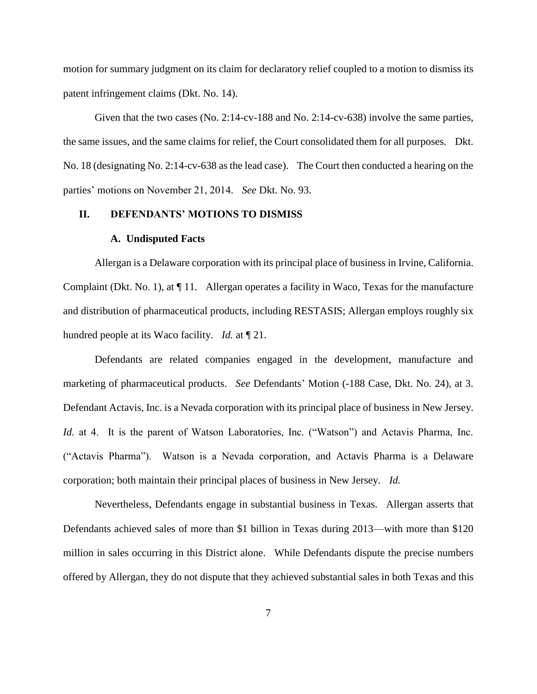motion for summary judgment on its claim for declaratory relief coupled to a motion to dismiss its patent infringement claims (Dkt. No. 14).

Given that the two cases (No. 2:14-cv-188 and No. 2:14-cv-638) involve the same parties, the same issues, and the same claims for relief, the Court consolidated them for all purposes. Dkt. No. 18 (designating No. 2:14-cv-638 as the lead case). The Court then conducted a hearing on the parties' motions on November 21, 2014. *See* Dkt. No. 93.

#### **II. DEFENDANTS' MOTIONS TO DISMISS**

#### **A. Undisputed Facts**

Allergan is a Delaware corporation with its principal place of business in Irvine, California. Complaint (Dkt. No. 1), at ¶ 11. Allergan operates a facility in Waco, Texas for the manufacture and distribution of pharmaceutical products, including RESTASIS; Allergan employs roughly six hundred people at its Waco facility. *Id.* at ¶ 21.

Defendants are related companies engaged in the development, manufacture and marketing of pharmaceutical products. *See* Defendants' Motion (-188 Case, Dkt. No. 24), at 3. Defendant Actavis, Inc. is a Nevada corporation with its principal place of business in New Jersey. *Id.* at 4. It is the parent of Watson Laboratories, Inc. ("Watson") and Actavis Pharma, Inc. ("Actavis Pharma"). Watson is a Nevada corporation, and Actavis Pharma is a Delaware corporation; both maintain their principal places of business in New Jersey. *Id.*

Nevertheless, Defendants engage in substantial business in Texas. Allergan asserts that Defendants achieved sales of more than \$1 billion in Texas during 2013—with more than \$120 million in sales occurring in this District alone. While Defendants dispute the precise numbers offered by Allergan, they do not dispute that they achieved substantial sales in both Texas and this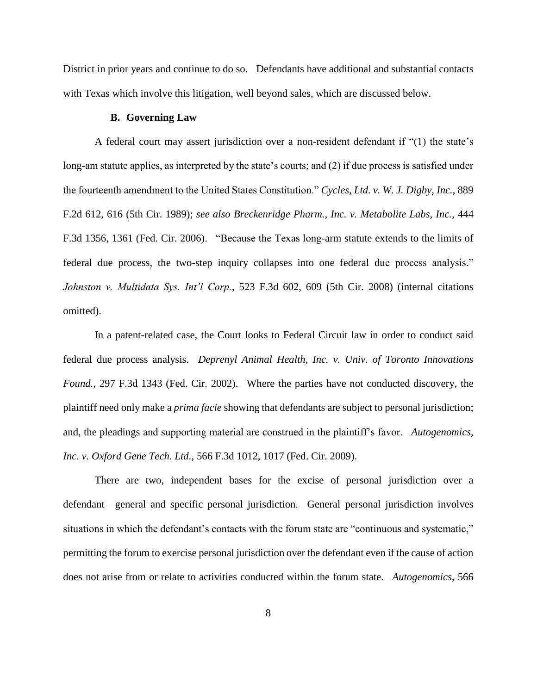District in prior years and continue to do so. Defendants have additional and substantial contacts with Texas which involve this litigation, well beyond sales, which are discussed below.

#### **B. Governing Law**

A federal court may assert jurisdiction over a non-resident defendant if "(1) the state's long-am statute applies, as interpreted by the state's courts; and (2) if due process is satisfied under the fourteenth amendment to the United States Constitution." *Cycles, Ltd. v. W. J. Digby, Inc.*, 889 F.2d 612, 616 (5th Cir. 1989); *see also Breckenridge Pharm., Inc. v. Metabolite Labs, Inc.*, 444 F.3d 1356, 1361 (Fed. Cir. 2006). "Because the Texas long-arm statute extends to the limits of federal due process, the two-step inquiry collapses into one federal due process analysis." *Johnston v. Multidata Sys. Int'l Corp.*, 523 F.3d 602, 609 (5th Cir. 2008) (internal citations omitted).

In a patent-related case, the Court looks to Federal Circuit law in order to conduct said federal due process analysis. *Deprenyl Animal Health, Inc. v. Univ. of Toronto Innovations Found.*, 297 F.3d 1343 (Fed. Cir. 2002). Where the parties have not conducted discovery, the plaintiff need only make a *prima facie* showing that defendants are subject to personal jurisdiction; and, the pleadings and supporting material are construed in the plaintiff's favor. *Autogenomics, Inc. v. Oxford Gene Tech. Ltd.*, 566 F.3d 1012, 1017 (Fed. Cir. 2009).

There are two, independent bases for the excise of personal jurisdiction over a defendant—general and specific personal jurisdiction. General personal jurisdiction involves situations in which the defendant's contacts with the forum state are "continuous and systematic," permitting the forum to exercise personal jurisdiction over the defendant even if the cause of action does not arise from or relate to activities conducted within the forum state. *Autogenomics,* 566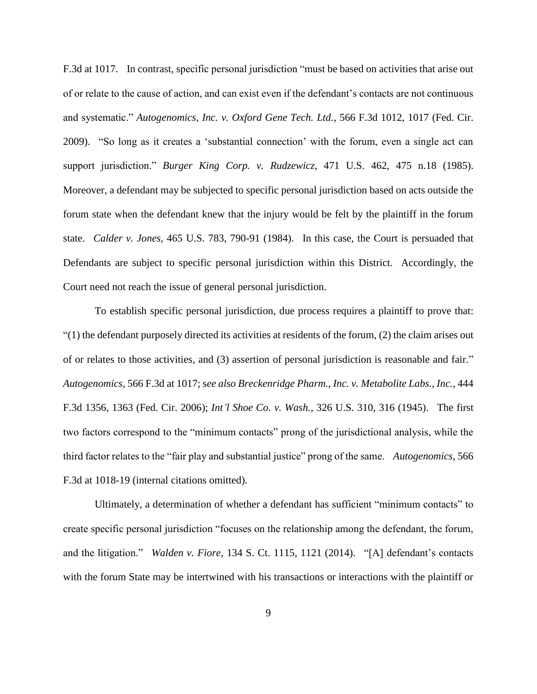F.3d at 1017. In contrast, specific personal jurisdiction "must be based on activities that arise out of or relate to the cause of action, and can exist even if the defendant's contacts are not continuous and systematic." *Autogenomics, Inc. v. Oxford Gene Tech. Ltd.*, 566 F.3d 1012, 1017 (Fed. Cir. 2009). "So long as it creates a 'substantial connection' with the forum, even a single act can support jurisdiction." *Burger King Corp. v. Rudzewicz*, 471 U.S. 462, 475 n.18 (1985). Moreover, a defendant may be subjected to specific personal jurisdiction based on acts outside the forum state when the defendant knew that the injury would be felt by the plaintiff in the forum state. *Calder v. Jones*, 465 U.S. 783, 790-91 (1984). In this case, the Court is persuaded that Defendants are subject to specific personal jurisdiction within this District. Accordingly, the Court need not reach the issue of general personal jurisdiction.

To establish specific personal jurisdiction, due process requires a plaintiff to prove that: "(1) the defendant purposely directed its activities at residents of the forum, (2) the claim arises out of or relates to those activities, and (3) assertion of personal jurisdiction is reasonable and fair." *Autogenomics,* 566 F.3d at 1017; s*ee also Breckenridge Pharm., Inc. v. Metabolite Labs., Inc.*, 444 F.3d 1356, 1363 (Fed. Cir. 2006); *Int'l Shoe Co. v. Wash.*, 326 U.S. 310, 316 (1945). The first two factors correspond to the "minimum contacts" prong of the jurisdictional analysis, while the third factor relates to the "fair play and substantial justice" prong of the same. *Autogenomics*, 566 F.3d at 1018-19 (internal citations omitted).

Ultimately, a determination of whether a defendant has sufficient "minimum contacts" to create specific personal jurisdiction "focuses on the relationship among the defendant, the forum, and the litigation." *Walden v. Fiore*, 134 S. Ct. 1115, 1121 (2014). "[A] defendant's contacts with the forum State may be intertwined with his transactions or interactions with the plaintiff or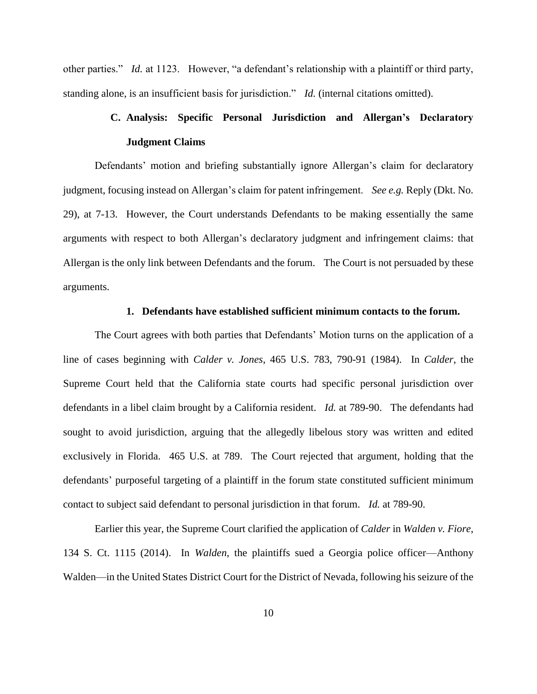other parties." *Id.* at 1123. However, "a defendant's relationship with a plaintiff or third party, standing alone, is an insufficient basis for jurisdiction." *Id.* (internal citations omitted).

# **C. Analysis: Specific Personal Jurisdiction and Allergan's Declaratory Judgment Claims**

Defendants' motion and briefing substantially ignore Allergan's claim for declaratory judgment, focusing instead on Allergan's claim for patent infringement. *See e.g.* Reply (Dkt. No. 29), at 7-13. However, the Court understands Defendants to be making essentially the same arguments with respect to both Allergan's declaratory judgment and infringement claims: that Allergan is the only link between Defendants and the forum. The Court is not persuaded by these arguments.

#### **1. Defendants have established sufficient minimum contacts to the forum.**

The Court agrees with both parties that Defendants' Motion turns on the application of a line of cases beginning with *Calder v. Jones*, 465 U.S. 783, 790-91 (1984). In *Calder*, the Supreme Court held that the California state courts had specific personal jurisdiction over defendants in a libel claim brought by a California resident. *Id.* at 789-90. The defendants had sought to avoid jurisdiction, arguing that the allegedly libelous story was written and edited exclusively in Florida. 465 U.S. at 789. The Court rejected that argument, holding that the defendants' purposeful targeting of a plaintiff in the forum state constituted sufficient minimum contact to subject said defendant to personal jurisdiction in that forum. *Id.* at 789-90.

Earlier this year, the Supreme Court clarified the application of *Calder* in *Walden v. Fiore*, 134 S. Ct. 1115 (2014). In *Walden*, the plaintiffs sued a Georgia police officer—Anthony Walden—in the United States District Court for the District of Nevada, following his seizure of the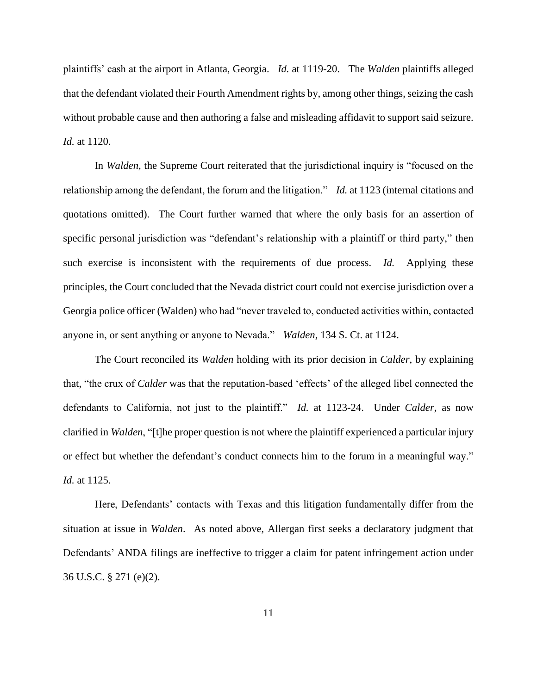plaintiffs' cash at the airport in Atlanta, Georgia. *Id.* at 1119-20. The *Walden* plaintiffs alleged that the defendant violated their Fourth Amendment rights by, among other things, seizing the cash without probable cause and then authoring a false and misleading affidavit to support said seizure. *Id.* at 1120.

In *Walden*, the Supreme Court reiterated that the jurisdictional inquiry is "focused on the relationship among the defendant, the forum and the litigation." *Id.* at 1123 (internal citations and quotations omitted). The Court further warned that where the only basis for an assertion of specific personal jurisdiction was "defendant's relationship with a plaintiff or third party," then such exercise is inconsistent with the requirements of due process. *Id.* Applying these principles, the Court concluded that the Nevada district court could not exercise jurisdiction over a Georgia police officer (Walden) who had "never traveled to, conducted activities within, contacted anyone in, or sent anything or anyone to Nevada." *Walden*, 134 S. Ct. at 1124.

The Court reconciled its *Walden* holding with its prior decision in *Calder*, by explaining that, "the crux of *Calder* was that the reputation-based 'effects' of the alleged libel connected the defendants to California, not just to the plaintiff." *Id.* at 1123-24. Under *Calder*, as now clarified in *Walden*, "[t]he proper question is not where the plaintiff experienced a particular injury or effect but whether the defendant's conduct connects him to the forum in a meaningful way." *Id.* at 1125.

Here, Defendants' contacts with Texas and this litigation fundamentally differ from the situation at issue in *Walden*. As noted above, Allergan first seeks a declaratory judgment that Defendants' ANDA filings are ineffective to trigger a claim for patent infringement action under 36 U.S.C. § 271 (e)(2).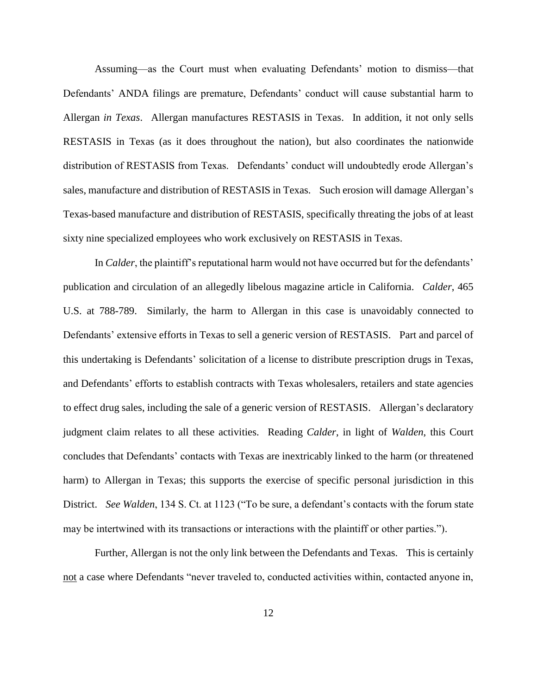Assuming—as the Court must when evaluating Defendants' motion to dismiss—that Defendants' ANDA filings are premature, Defendants' conduct will cause substantial harm to Allergan *in Texas*. Allergan manufactures RESTASIS in Texas. In addition, it not only sells RESTASIS in Texas (as it does throughout the nation), but also coordinates the nationwide distribution of RESTASIS from Texas. Defendants' conduct will undoubtedly erode Allergan's sales, manufacture and distribution of RESTASIS in Texas. Such erosion will damage Allergan's Texas-based manufacture and distribution of RESTASIS, specifically threating the jobs of at least sixty nine specialized employees who work exclusively on RESTASIS in Texas.

In *Calder*, the plaintiff's reputational harm would not have occurred but for the defendants' publication and circulation of an allegedly libelous magazine article in California. *Calder*, 465 U.S. at 788-789. Similarly, the harm to Allergan in this case is unavoidably connected to Defendants' extensive efforts in Texas to sell a generic version of RESTASIS. Part and parcel of this undertaking is Defendants' solicitation of a license to distribute prescription drugs in Texas, and Defendants' efforts to establish contracts with Texas wholesalers, retailers and state agencies to effect drug sales, including the sale of a generic version of RESTASIS. Allergan's declaratory judgment claim relates to all these activities. Reading *Calder*, in light of *Walden*, this Court concludes that Defendants' contacts with Texas are inextricably linked to the harm (or threatened harm) to Allergan in Texas; this supports the exercise of specific personal jurisdiction in this District. *See Walden*, 134 S. Ct. at 1123 ("To be sure, a defendant's contacts with the forum state may be intertwined with its transactions or interactions with the plaintiff or other parties.").

Further, Allergan is not the only link between the Defendants and Texas. This is certainly not a case where Defendants "never traveled to, conducted activities within, contacted anyone in,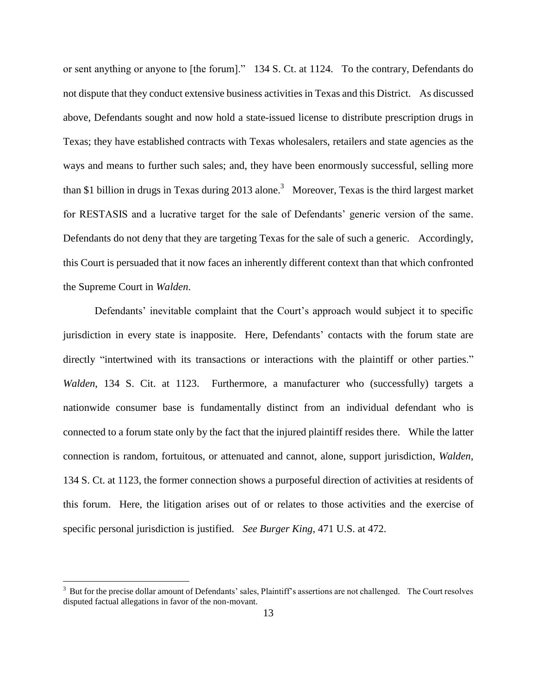or sent anything or anyone to [the forum]." 134 S. Ct. at 1124. To the contrary, Defendants do not dispute that they conduct extensive business activities in Texas and this District. As discussed above, Defendants sought and now hold a state-issued license to distribute prescription drugs in Texas; they have established contracts with Texas wholesalers, retailers and state agencies as the ways and means to further such sales; and, they have been enormously successful, selling more than \$1 billion in drugs in Texas during 2013 alone.<sup>3</sup> Moreover, Texas is the third largest market for RESTASIS and a lucrative target for the sale of Defendants' generic version of the same. Defendants do not deny that they are targeting Texas for the sale of such a generic. Accordingly, this Court is persuaded that it now faces an inherently different context than that which confronted the Supreme Court in *Walden*.

Defendants' inevitable complaint that the Court's approach would subject it to specific jurisdiction in every state is inapposite. Here, Defendants' contacts with the forum state are directly "intertwined with its transactions or interactions with the plaintiff or other parties." *Walden*, 134 S. Cit. at 1123. Furthermore, a manufacturer who (successfully) targets a nationwide consumer base is fundamentally distinct from an individual defendant who is connected to a forum state only by the fact that the injured plaintiff resides there. While the latter connection is random, fortuitous, or attenuated and cannot, alone, support jurisdiction, *Walden*, 134 S. Ct. at 1123, the former connection shows a purposeful direction of activities at residents of this forum. Here, the litigation arises out of or relates to those activities and the exercise of specific personal jurisdiction is justified. *See Burger King*, 471 U.S. at 472.

 $\overline{a}$ 

 $3$  But for the precise dollar amount of Defendants' sales, Plaintiff's assertions are not challenged. The Court resolves disputed factual allegations in favor of the non-movant.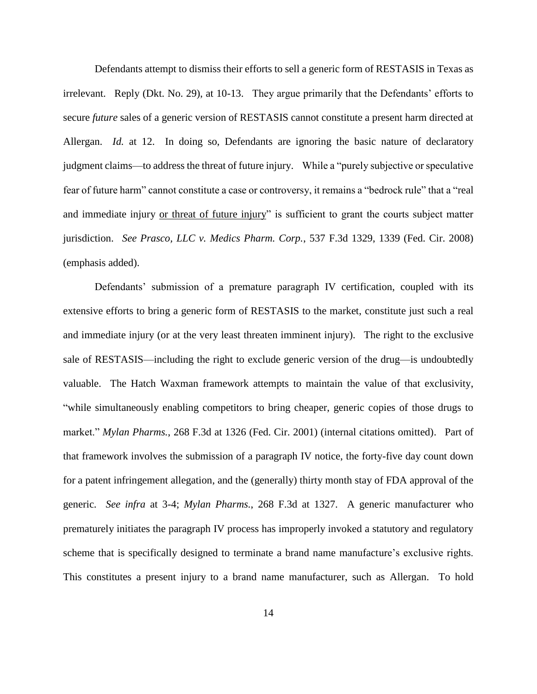Defendants attempt to dismiss their efforts to sell a generic form of RESTASIS in Texas as irrelevant. Reply (Dkt. No. 29), at 10-13. They argue primarily that the Defendants' efforts to secure *future* sales of a generic version of RESTASIS cannot constitute a present harm directed at Allergan. *Id.* at 12. In doing so, Defendants are ignoring the basic nature of declaratory judgment claims—to address the threat of future injury. While a "purely subjective or speculative fear of future harm" cannot constitute a case or controversy, it remains a "bedrock rule" that a "real and immediate injury or threat of future injury" is sufficient to grant the courts subject matter jurisdiction. *See Prasco, LLC v. Medics Pharm. Corp.*, 537 F.3d 1329, 1339 (Fed. Cir. 2008) (emphasis added).

Defendants' submission of a premature paragraph IV certification, coupled with its extensive efforts to bring a generic form of RESTASIS to the market, constitute just such a real and immediate injury (or at the very least threaten imminent injury). The right to the exclusive sale of RESTASIS—including the right to exclude generic version of the drug—is undoubtedly valuable. The Hatch Waxman framework attempts to maintain the value of that exclusivity, "while simultaneously enabling competitors to bring cheaper, generic copies of those drugs to market." *Mylan Pharms.*, 268 F.3d at 1326 (Fed. Cir. 2001) (internal citations omitted). Part of that framework involves the submission of a paragraph IV notice, the forty-five day count down for a patent infringement allegation, and the (generally) thirty month stay of FDA approval of the generic. *See infra* at 3-4; *Mylan Pharms.*, 268 F.3d at 1327. A generic manufacturer who prematurely initiates the paragraph IV process has improperly invoked a statutory and regulatory scheme that is specifically designed to terminate a brand name manufacture's exclusive rights. This constitutes a present injury to a brand name manufacturer, such as Allergan. To hold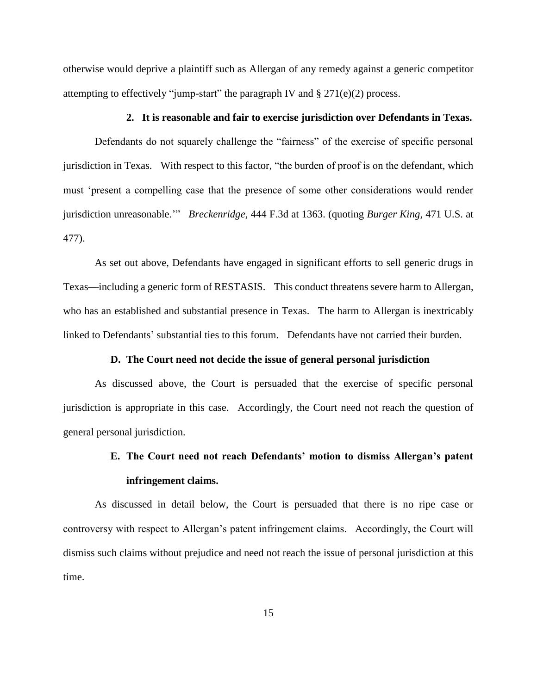otherwise would deprive a plaintiff such as Allergan of any remedy against a generic competitor attempting to effectively "jump-start" the paragraph IV and  $\S 271(e)(2)$  process.

#### **2. It is reasonable and fair to exercise jurisdiction over Defendants in Texas.**

Defendants do not squarely challenge the "fairness" of the exercise of specific personal jurisdiction in Texas. With respect to this factor, "the burden of proof is on the defendant, which must 'present a compelling case that the presence of some other considerations would render jurisdiction unreasonable.'" *Breckenridge*, 444 F.3d at 1363. (quoting *Burger King*, 471 U.S. at 477).

As set out above, Defendants have engaged in significant efforts to sell generic drugs in Texas—including a generic form of RESTASIS. This conduct threatens severe harm to Allergan, who has an established and substantial presence in Texas. The harm to Allergan is inextricably linked to Defendants' substantial ties to this forum. Defendants have not carried their burden.

#### **D. The Court need not decide the issue of general personal jurisdiction**

As discussed above, the Court is persuaded that the exercise of specific personal jurisdiction is appropriate in this case. Accordingly, the Court need not reach the question of general personal jurisdiction.

### **E. The Court need not reach Defendants' motion to dismiss Allergan's patent infringement claims.**

As discussed in detail below, the Court is persuaded that there is no ripe case or controversy with respect to Allergan's patent infringement claims. Accordingly, the Court will dismiss such claims without prejudice and need not reach the issue of personal jurisdiction at this time.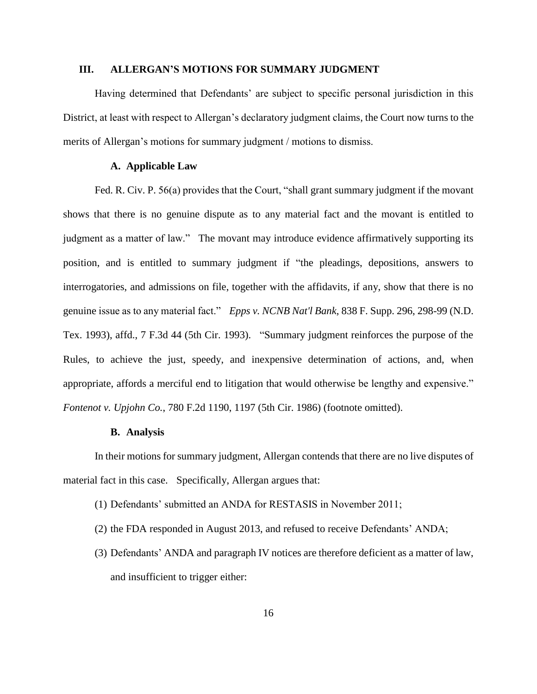#### **III. ALLERGAN'S MOTIONS FOR SUMMARY JUDGMENT**

Having determined that Defendants' are subject to specific personal jurisdiction in this District, at least with respect to Allergan's declaratory judgment claims, the Court now turns to the merits of Allergan's motions for summary judgment / motions to dismiss.

#### **A. Applicable Law**

Fed. R. Civ. P. 56(a) provides that the Court, "shall grant summary judgment if the movant shows that there is no genuine dispute as to any material fact and the movant is entitled to judgment as a matter of law." The movant may introduce evidence affirmatively supporting its position, and is entitled to summary judgment if "the pleadings, depositions, answers to interrogatories, and admissions on file, together with the affidavits, if any, show that there is no genuine issue as to any material fact." *Epps v. NCNB Nat'l Bank*, 838 F. Supp. 296, 298-99 (N.D. Tex. 1993), affd., 7 F.3d 44 (5th Cir. 1993). "Summary judgment reinforces the purpose of the Rules, to achieve the just, speedy, and inexpensive determination of actions, and, when appropriate, affords a merciful end to litigation that would otherwise be lengthy and expensive." *Fontenot v. Upjohn Co.*, 780 F.2d 1190, 1197 (5th Cir. 1986) (footnote omitted).

#### **B. Analysis**

In their motions for summary judgment, Allergan contends that there are no live disputes of material fact in this case. Specifically, Allergan argues that:

- (1) Defendants' submitted an ANDA for RESTASIS in November 2011;
- (2) the FDA responded in August 2013, and refused to receive Defendants' ANDA;
- (3) Defendants' ANDA and paragraph IV notices are therefore deficient as a matter of law, and insufficient to trigger either: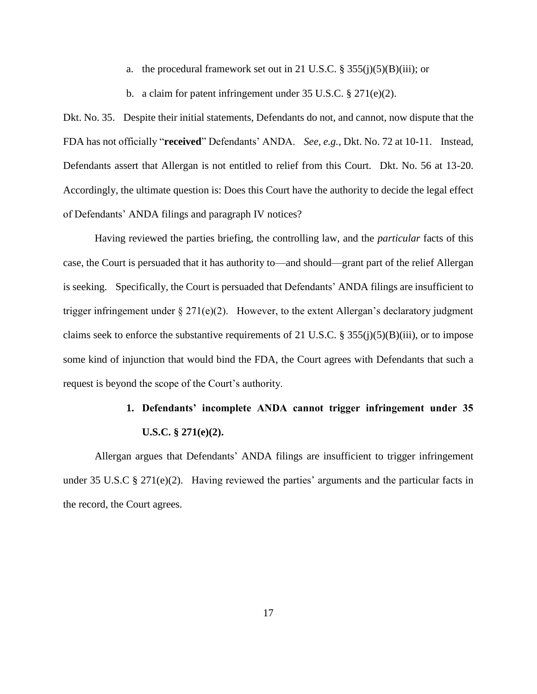a. the procedural framework set out in 21 U.S.C.  $\S 355(j)(5)(B)(iii)$ ; or

b. a claim for patent infringement under 35 U.S.C. § 271(e)(2).

Dkt. No. 35. Despite their initial statements, Defendants do not, and cannot, now dispute that the FDA has not officially "**received**" Defendants' ANDA. *See, e.g.,* Dkt. No. 72 at 10-11. Instead, Defendants assert that Allergan is not entitled to relief from this Court. Dkt. No. 56 at 13-20. Accordingly, the ultimate question is: Does this Court have the authority to decide the legal effect of Defendants' ANDA filings and paragraph IV notices?

Having reviewed the parties briefing, the controlling law, and the *particular* facts of this case, the Court is persuaded that it has authority to—and should—grant part of the relief Allergan is seeking. Specifically, the Court is persuaded that Defendants' ANDA filings are insufficient to trigger infringement under  $\S 271(e)(2)$ . However, to the extent Allergan's declaratory judgment claims seek to enforce the substantive requirements of 21 U.S.C. § 355(j)(5)(B)(iii), or to impose some kind of injunction that would bind the FDA, the Court agrees with Defendants that such a request is beyond the scope of the Court's authority.

## **1. Defendants' incomplete ANDA cannot trigger infringement under 35 U.S.C. § 271(e)(2).**

Allergan argues that Defendants' ANDA filings are insufficient to trigger infringement under 35 U.S.C § 271(e)(2). Having reviewed the parties' arguments and the particular facts in the record, the Court agrees.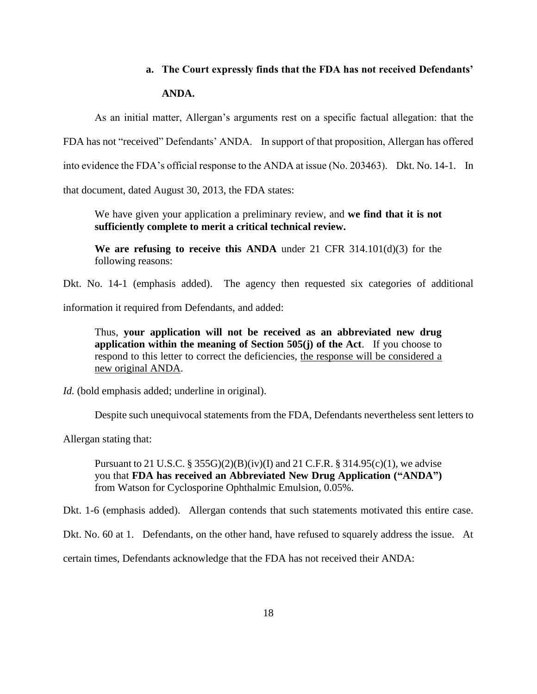# **a. The Court expressly finds that the FDA has not received Defendants' ANDA.**

As an initial matter, Allergan's arguments rest on a specific factual allegation: that the

FDA has not "received" Defendants' ANDA. In support of that proposition, Allergan has offered

into evidence the FDA's official response to the ANDA at issue (No. 203463). Dkt. No. 14-1. In

that document, dated August 30, 2013, the FDA states:

We have given your application a preliminary review, and **we find that it is not sufficiently complete to merit a critical technical review.**

**We are refusing to receive this ANDA** under 21 CFR  $314.101(d)(3)$  for the following reasons:

Dkt. No. 14-1 (emphasis added). The agency then requested six categories of additional

information it required from Defendants, and added:

Thus, **your application will not be received as an abbreviated new drug application within the meaning of Section 505(j) of the Act**. If you choose to respond to this letter to correct the deficiencies, the response will be considered a new original ANDA.

*Id.* (bold emphasis added; underline in original).

Despite such unequivocal statements from the FDA, Defendants nevertheless sent letters to

Allergan stating that:

Pursuant to 21 U.S.C. § 355G $(2)(B)(iv)(I)$  and 21 C.F.R. § 314.95(c)(1), we advise you that **FDA has received an Abbreviated New Drug Application ("ANDA")**  from Watson for Cyclosporine Ophthalmic Emulsion, 0.05%.

Dkt. 1-6 (emphasis added). Allergan contends that such statements motivated this entire case.

Dkt. No. 60 at 1. Defendants, on the other hand, have refused to squarely address the issue. At

certain times, Defendants acknowledge that the FDA has not received their ANDA: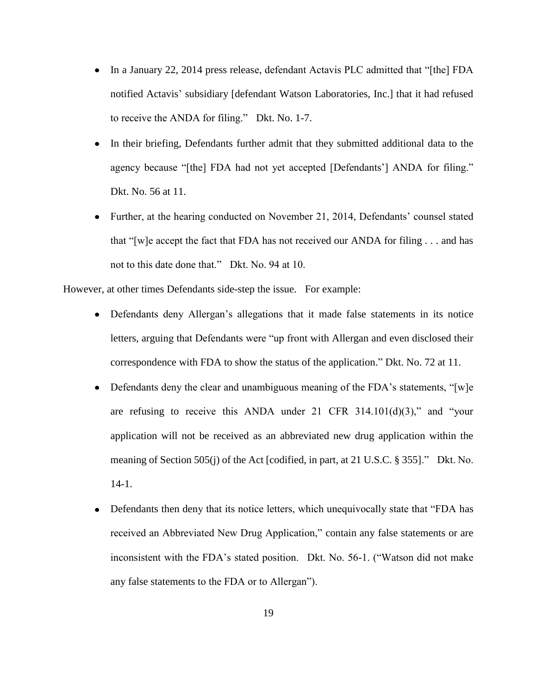- In a January 22, 2014 press release, defendant Actavis PLC admitted that "[the] FDA notified Actavis' subsidiary [defendant Watson Laboratories, Inc.] that it had refused to receive the ANDA for filing." Dkt. No. 1-7.
- In their briefing, Defendants further admit that they submitted additional data to the  $\bullet$ agency because "[the] FDA had not yet accepted [Defendants'] ANDA for filing." Dkt. No. 56 at 11.
- Further, at the hearing conducted on November 21, 2014, Defendants' counsel stated that "[w]e accept the fact that FDA has not received our ANDA for filing . . . and has not to this date done that." Dkt. No. 94 at 10.

However, at other times Defendants side-step the issue. For example:

- Defendants deny Allergan's allegations that it made false statements in its notice letters, arguing that Defendants were "up front with Allergan and even disclosed their correspondence with FDA to show the status of the application." Dkt. No. 72 at 11.
- Defendants deny the clear and unambiguous meaning of the FDA's statements, "[w]e are refusing to receive this ANDA under 21 CFR  $314.101(d)(3)$ ," and "your application will not be received as an abbreviated new drug application within the meaning of Section 505(j) of the Act [codified, in part, at 21 U.S.C. § 355]." Dkt. No. 14-1.
- Defendants then deny that its notice letters, which unequivocally state that "FDA has  $\bullet$ received an Abbreviated New Drug Application," contain any false statements or are inconsistent with the FDA's stated position. Dkt. No. 56-1. ("Watson did not make any false statements to the FDA or to Allergan").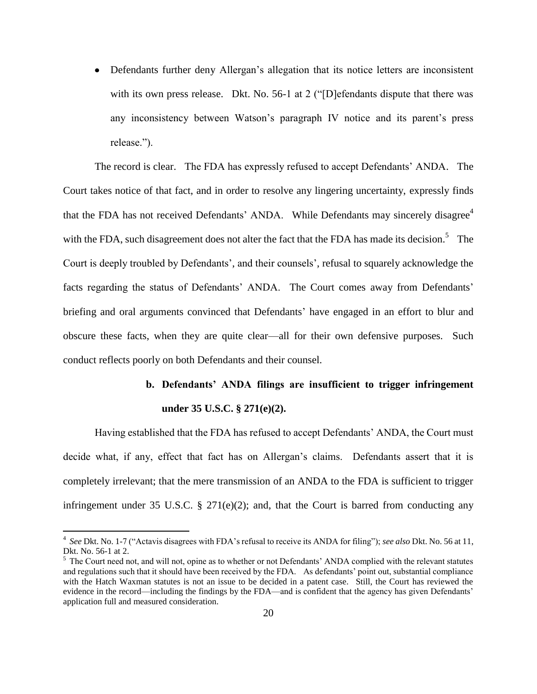Defendants further deny Allergan's allegation that its notice letters are inconsistent with its own press release. Dkt. No. 56-1 at 2 ("[D] efendants dispute that there was any inconsistency between Watson's paragraph IV notice and its parent's press release.").

The record is clear. The FDA has expressly refused to accept Defendants' ANDA. The Court takes notice of that fact, and in order to resolve any lingering uncertainty, expressly finds that the FDA has not received Defendants' ANDA. While Defendants may sincerely disagree<sup>4</sup> with the FDA, such disagreement does not alter the fact that the FDA has made its decision.<sup>5</sup> The Court is deeply troubled by Defendants', and their counsels', refusal to squarely acknowledge the facts regarding the status of Defendants' ANDA. The Court comes away from Defendants' briefing and oral arguments convinced that Defendants' have engaged in an effort to blur and obscure these facts, when they are quite clear—all for their own defensive purposes. Such conduct reflects poorly on both Defendants and their counsel.

# **b. Defendants' ANDA filings are insufficient to trigger infringement under 35 U.S.C. § 271(e)(2).**

Having established that the FDA has refused to accept Defendants' ANDA, the Court must decide what, if any, effect that fact has on Allergan's claims. Defendants assert that it is completely irrelevant; that the mere transmission of an ANDA to the FDA is sufficient to trigger infringement under 35 U.S.C. § 271(e)(2); and, that the Court is barred from conducting any

 $\overline{a}$ 

<sup>4</sup> *See* Dkt. No. 1-7 ("Actavis disagrees with FDA's refusal to receive its ANDA for filing"); *see also* Dkt. No. 56 at 11, Dkt. No. 56-1 at 2.

 $<sup>5</sup>$  The Court need not, and will not, opine as to whether or not Defendants' ANDA complied with the relevant statutes</sup> and regulations such that it should have been received by the FDA. As defendants' point out, substantial compliance with the Hatch Waxman statutes is not an issue to be decided in a patent case. Still, the Court has reviewed the evidence in the record—including the findings by the FDA—and is confident that the agency has given Defendants' application full and measured consideration.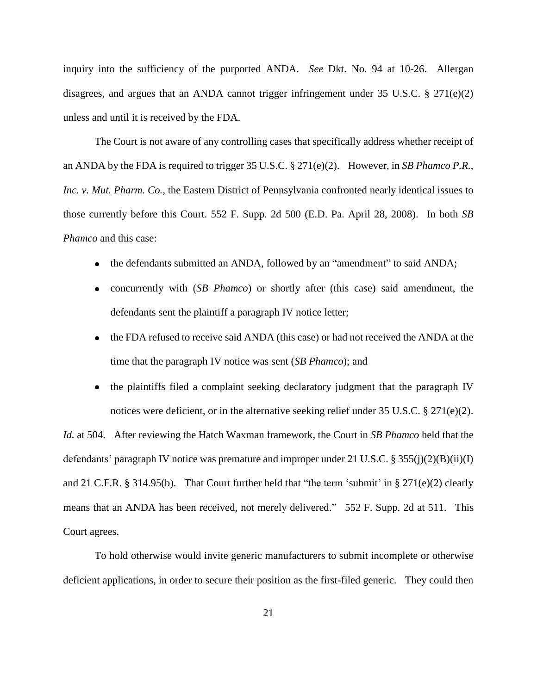inquiry into the sufficiency of the purported ANDA. *See* Dkt. No. 94 at 10-26. Allergan disagrees, and argues that an ANDA cannot trigger infringement under 35 U.S.C. § 271(e)(2) unless and until it is received by the FDA.

The Court is not aware of any controlling cases that specifically address whether receipt of an ANDA by the FDA is required to trigger 35 U.S.C. § 271(e)(2). However, in *SB Phamco P.R., Inc. v. Mut. Pharm. Co.*, the Eastern District of Pennsylvania confronted nearly identical issues to those currently before this Court. 552 F. Supp. 2d 500 (E.D. Pa. April 28, 2008). In both *SB Phamco* and this case:

- the defendants submitted an ANDA, followed by an "amendment" to said ANDA;  $\bullet$
- concurrently with (*SB Phamco*) or shortly after (this case) said amendment, the defendants sent the plaintiff a paragraph IV notice letter;
- the FDA refused to receive said ANDA (this case) or had not received the ANDA at the time that the paragraph IV notice was sent (*SB Phamco*); and
- the plaintiffs filed a complaint seeking declaratory judgment that the paragraph IV notices were deficient, or in the alternative seeking relief under 35 U.S.C. § 271(e)(2).

*Id.* at 504. After reviewing the Hatch Waxman framework, the Court in *SB Phamco* held that the defendants' paragraph IV notice was premature and improper under 21 U.S.C. § 355(j)(2)(B)(ii)(I) and 21 C.F.R. § 314.95(b). That Court further held that "the term 'submit' in § 271(e)(2) clearly means that an ANDA has been received, not merely delivered." 552 F. Supp. 2d at 511. This Court agrees.

To hold otherwise would invite generic manufacturers to submit incomplete or otherwise deficient applications, in order to secure their position as the first-filed generic. They could then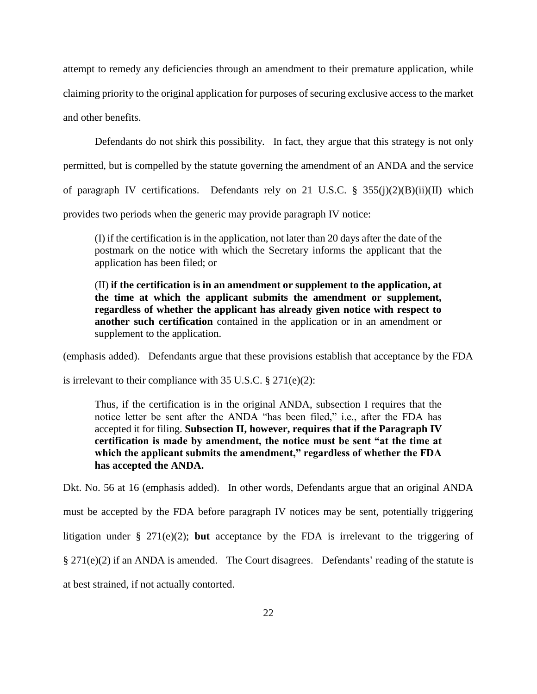attempt to remedy any deficiencies through an amendment to their premature application, while claiming priority to the original application for purposes of securing exclusive access to the market and other benefits.

Defendants do not shirk this possibility. In fact, they argue that this strategy is not only permitted, but is compelled by the statute governing the amendment of an ANDA and the service of paragraph IV certifications. Defendants rely on 21 U.S.C.  $\frac{8}{3}$  355(j)(2)(B)(ii)(II) which provides two periods when the generic may provide paragraph IV notice:

(I) if the certification is in the application, not later than 20 days after the date of the postmark on the notice with which the Secretary informs the applicant that the application has been filed; or

(II) **if the certification is in an amendment or supplement to the application, at the time at which the applicant submits the amendment or supplement, regardless of whether the applicant has already given notice with respect to another such certification** contained in the application or in an amendment or supplement to the application.

(emphasis added). Defendants argue that these provisions establish that acceptance by the FDA

is irrelevant to their compliance with 35 U.S.C.  $\S 271(e)(2)$ :

Thus, if the certification is in the original ANDA, subsection I requires that the notice letter be sent after the ANDA "has been filed," i.e., after the FDA has accepted it for filing. **Subsection II, however, requires that if the Paragraph IV certification is made by amendment, the notice must be sent "at the time at which the applicant submits the amendment," regardless of whether the FDA has accepted the ANDA.**

Dkt. No. 56 at 16 (emphasis added). In other words, Defendants argue that an original ANDA must be accepted by the FDA before paragraph IV notices may be sent, potentially triggering litigation under § 271(e)(2); **but** acceptance by the FDA is irrelevant to the triggering of § 271(e)(2) if an ANDA is amended. The Court disagrees. Defendants' reading of the statute is at best strained, if not actually contorted.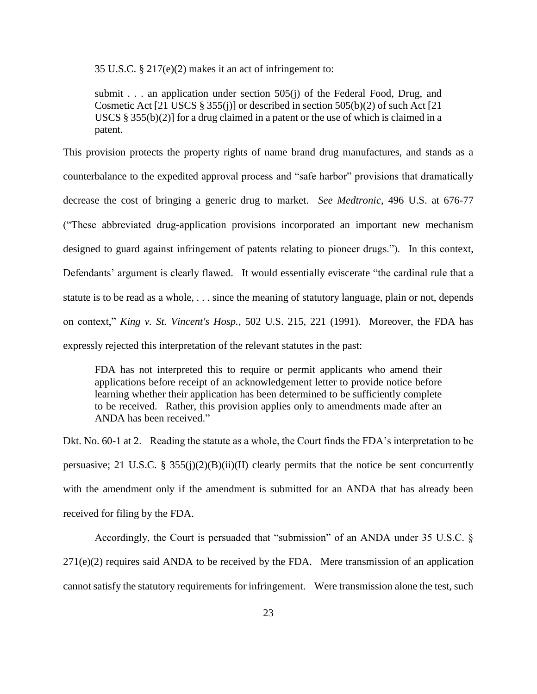35 U.S.C. § 217(e)(2) makes it an act of infringement to:

submit . . . an application under section 505(j) of the Federal Food, Drug, and Cosmetic Act [21 USCS § 355(j)] or described in section 505(b)(2) of such Act [21 USCS  $\S 355(b)(2)$  for a drug claimed in a patent or the use of which is claimed in a patent.

This provision protects the property rights of name brand drug manufactures, and stands as a counterbalance to the expedited approval process and "safe harbor" provisions that dramatically decrease the cost of bringing a generic drug to market. *See Medtronic*, 496 U.S. at 676-77 ("These abbreviated drug-application provisions incorporated an important new mechanism designed to guard against infringement of patents relating to pioneer drugs."). In this context, Defendants' argument is clearly flawed. It would essentially eviscerate "the cardinal rule that a statute is to be read as a whole, . . . since the meaning of statutory language, plain or not, depends on context," *King v. St. Vincent's Hosp.*, 502 U.S. 215, 221 (1991). Moreover, the FDA has expressly rejected this interpretation of the relevant statutes in the past:

FDA has not interpreted this to require or permit applicants who amend their applications before receipt of an acknowledgement letter to provide notice before learning whether their application has been determined to be sufficiently complete to be received. Rather, this provision applies only to amendments made after an ANDA has been received."

Dkt. No. 60-1 at 2. Reading the statute as a whole, the Court finds the FDA's interpretation to be persuasive; 21 U.S.C. § 355(j)(2)(B)(ii)(II) clearly permits that the notice be sent concurrently with the amendment only if the amendment is submitted for an ANDA that has already been received for filing by the FDA.

Accordingly, the Court is persuaded that "submission" of an ANDA under 35 U.S.C. §  $271(e)(2)$  requires said ANDA to be received by the FDA. Mere transmission of an application cannot satisfy the statutory requirements for infringement. Were transmission alone the test, such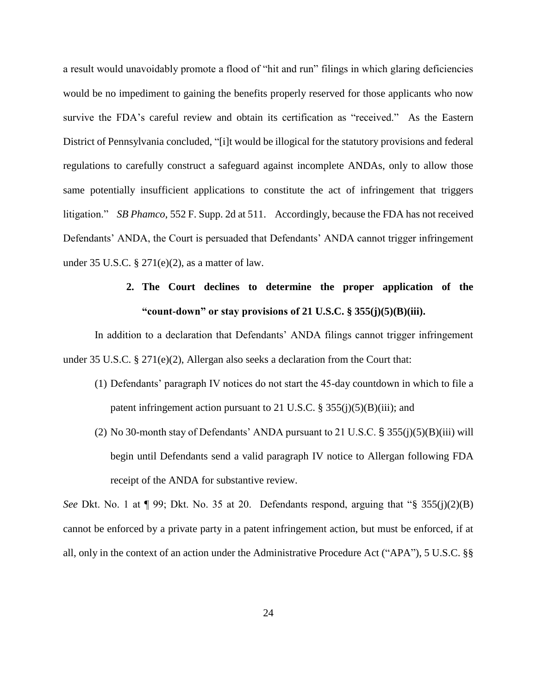a result would unavoidably promote a flood of "hit and run" filings in which glaring deficiencies would be no impediment to gaining the benefits properly reserved for those applicants who now survive the FDA's careful review and obtain its certification as "received." As the Eastern District of Pennsylvania concluded, "[i]t would be illogical for the statutory provisions and federal regulations to carefully construct a safeguard against incomplete ANDAs, only to allow those same potentially insufficient applications to constitute the act of infringement that triggers litigation." *SB Phamco*, 552 F. Supp. 2d at 511. Accordingly, because the FDA has not received Defendants' ANDA, the Court is persuaded that Defendants' ANDA cannot trigger infringement under 35 U.S.C.  $\S 271(e)(2)$ , as a matter of law.

## **2. The Court declines to determine the proper application of the "count-down" or stay provisions of 21 U.S.C. § 355(j)(5)(B)(iii).**

In addition to a declaration that Defendants' ANDA filings cannot trigger infringement under 35 U.S.C. § 271(e)(2), Allergan also seeks a declaration from the Court that:

- (1) Defendants' paragraph IV notices do not start the 45-day countdown in which to file a patent infringement action pursuant to 21 U.S.C.  $\S 355(j)(5)(B)(iii)$ ; and
- (2) No 30-month stay of Defendants' ANDA pursuant to 21 U.S.C.  $\S$  355(j)(5)(B)(iii) will begin until Defendants send a valid paragraph IV notice to Allergan following FDA receipt of the ANDA for substantive review.

*See* Dkt. No. 1 at  $\P$  99; Dkt. No. 35 at 20. Defendants respond, arguing that "§ 355(j)(2)(B) cannot be enforced by a private party in a patent infringement action, but must be enforced, if at all, only in the context of an action under the Administrative Procedure Act ("APA"), 5 U.S.C. §§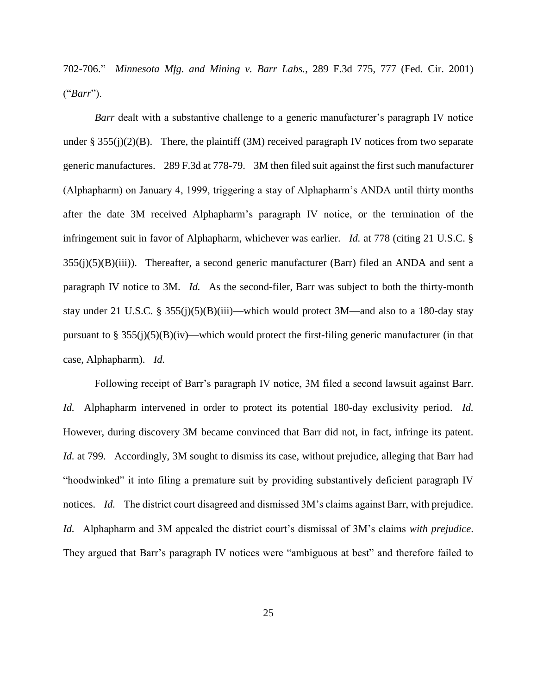702-706." *Minnesota Mfg. and Mining v. Barr Labs.*, 289 F.3d 775, 777 (Fed. Cir. 2001) ("*Barr*").

*Barr* dealt with a substantive challenge to a generic manufacturer's paragraph IV notice under §  $355(j)(2)(B)$ . There, the plaintiff (3M) received paragraph IV notices from two separate generic manufactures. 289 F.3d at 778-79. 3M then filed suit against the first such manufacturer (Alphapharm) on January 4, 1999, triggering a stay of Alphapharm's ANDA until thirty months after the date 3M received Alphapharm's paragraph IV notice, or the termination of the infringement suit in favor of Alphapharm, whichever was earlier. *Id.* at 778 (citing 21 U.S.C. §  $355(j)(5)(B)(iii)$ ). Thereafter, a second generic manufacturer (Barr) filed an ANDA and sent a paragraph IV notice to 3M. *Id.* As the second-filer, Barr was subject to both the thirty-month stay under 21 U.S.C. § 355(j)(5)(B)(iii)—which would protect 3M—and also to a 180-day stay pursuant to  $\S 355(j)(5)(B)(iv)$ —which would protect the first-filing generic manufacturer (in that case, Alphapharm). *Id.*

Following receipt of Barr's paragraph IV notice, 3M filed a second lawsuit against Barr. *Id.* Alphapharm intervened in order to protect its potential 180-day exclusivity period. *Id.*  However, during discovery 3M became convinced that Barr did not, in fact, infringe its patent. *Id.* at 799. Accordingly, 3M sought to dismiss its case, without prejudice, alleging that Barr had "hoodwinked" it into filing a premature suit by providing substantively deficient paragraph IV notices. *Id.* The district court disagreed and dismissed 3M's claims against Barr, with prejudice. *Id.* Alphapharm and 3M appealed the district court's dismissal of 3M's claims *with prejudice*. They argued that Barr's paragraph IV notices were "ambiguous at best" and therefore failed to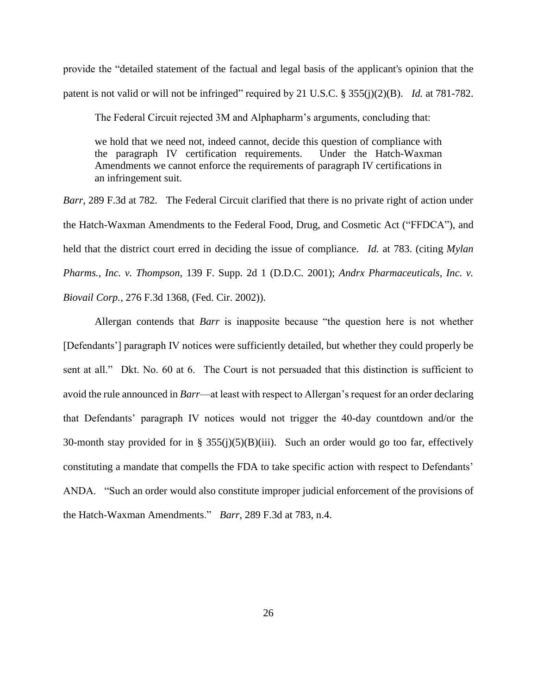provide the "detailed statement of the factual and legal basis of the applicant's opinion that the patent is not valid or will not be infringed" required by 21 U.S.C. § 355(j)(2)(B). *Id.* at 781-782.

The Federal Circuit rejected 3M and Alphapharm's arguments, concluding that:

we hold that we need not, indeed cannot, decide this question of compliance with the paragraph IV certification requirements. Under the Hatch-Waxman Amendments we cannot enforce the requirements of paragraph IV certifications in an infringement suit.

*Barr*, 289 F.3d at 782. The Federal Circuit clarified that there is no private right of action under the Hatch-Waxman Amendments to the Federal Food, Drug, and Cosmetic Act ("FFDCA"), and held that the district court erred in deciding the issue of compliance. *Id.* at 783. (citing *Mylan Pharms., Inc. v. Thompson*, 139 F. Supp. 2d 1 (D.D.C. 2001); *Andrx Pharmaceuticals, Inc. v. Biovail Corp.*, 276 F.3d 1368, (Fed. Cir. 2002)).

Allergan contends that *Barr* is inapposite because "the question here is not whether [Defendants'] paragraph IV notices were sufficiently detailed, but whether they could properly be sent at all." Dkt. No. 60 at 6. The Court is not persuaded that this distinction is sufficient to avoid the rule announced in *Barr*—at least with respect to Allergan's request for an order declaring that Defendants' paragraph IV notices would not trigger the 40-day countdown and/or the 30-month stay provided for in §  $355(j)(5)(B)(iii)$ . Such an order would go too far, effectively constituting a mandate that compells the FDA to take specific action with respect to Defendants' ANDA. "Such an order would also constitute improper judicial enforcement of the provisions of the Hatch-Waxman Amendments." *Barr*, 289 F.3d at 783, n.4.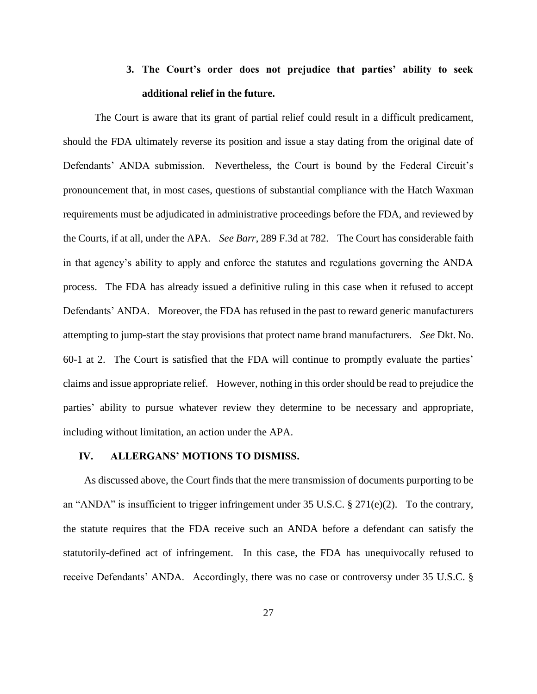### **3. The Court's order does not prejudice that parties' ability to seek additional relief in the future.**

The Court is aware that its grant of partial relief could result in a difficult predicament, should the FDA ultimately reverse its position and issue a stay dating from the original date of Defendants' ANDA submission. Nevertheless, the Court is bound by the Federal Circuit's pronouncement that, in most cases, questions of substantial compliance with the Hatch Waxman requirements must be adjudicated in administrative proceedings before the FDA, and reviewed by the Courts, if at all, under the APA. *See Barr*, 289 F.3d at 782. The Court has considerable faith in that agency's ability to apply and enforce the statutes and regulations governing the ANDA process. The FDA has already issued a definitive ruling in this case when it refused to accept Defendants' ANDA. Moreover, the FDA has refused in the past to reward generic manufacturers attempting to jump-start the stay provisions that protect name brand manufacturers. *See* Dkt. No. 60-1 at 2. The Court is satisfied that the FDA will continue to promptly evaluate the parties' claims and issue appropriate relief. However, nothing in this order should be read to prejudice the parties' ability to pursue whatever review they determine to be necessary and appropriate, including without limitation, an action under the APA.

#### **IV. ALLERGANS' MOTIONS TO DISMISS.**

 As discussed above, the Court finds that the mere transmission of documents purporting to be an "ANDA" is insufficient to trigger infringement under 35 U.S.C. § 271(e)(2). To the contrary, the statute requires that the FDA receive such an ANDA before a defendant can satisfy the statutorily-defined act of infringement. In this case, the FDA has unequivocally refused to receive Defendants' ANDA. Accordingly, there was no case or controversy under 35 U.S.C. §